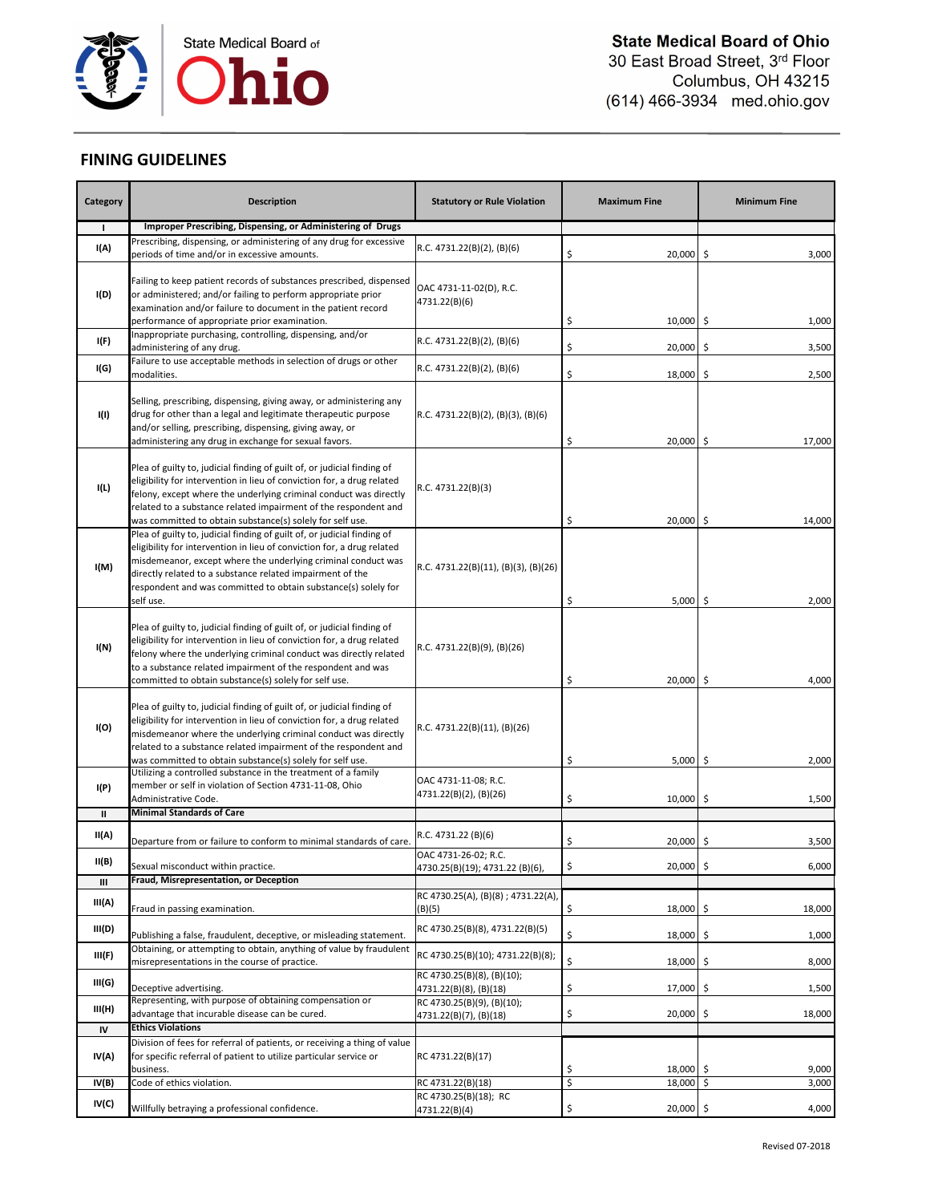

## **FINING GUIDELINES**

| Category     | <b>Description</b>                                                                                                                                                                                                                                                                                                                                             | <b>Statutory or Rule Violation</b>                      | <b>Maximum Fine</b> | <b>Minimum Fine</b> |
|--------------|----------------------------------------------------------------------------------------------------------------------------------------------------------------------------------------------------------------------------------------------------------------------------------------------------------------------------------------------------------------|---------------------------------------------------------|---------------------|---------------------|
| $\mathbf{I}$ | Improper Prescribing, Dispensing, or Administering of Drugs                                                                                                                                                                                                                                                                                                    |                                                         |                     |                     |
| I(A)         | Prescribing, dispensing, or administering of any drug for excessive<br>periods of time and/or in excessive amounts.                                                                                                                                                                                                                                            | R.C. 4731.22(B)(2), (B)(6)                              | \$<br>20,000 \$     | 3,000               |
| I(D)         | Failing to keep patient records of substances prescribed, dispensed<br>or administered; and/or failing to perform appropriate prior<br>examination and/or failure to document in the patient record<br>performance of appropriate prior examination.                                                                                                           | OAC 4731-11-02(D), R.C.<br>4731.22(B)(6)                | \$<br>$10,000$ \$   | 1,000               |
| I(F)         | Inappropriate purchasing, controlling, dispensing, and/or                                                                                                                                                                                                                                                                                                      | R.C. 4731.22(B)(2), (B)(6)                              |                     |                     |
|              | administering of any drug.<br>Failure to use acceptable methods in selection of drugs or other                                                                                                                                                                                                                                                                 |                                                         | \$<br>20,000        | -\$<br>3,500        |
| I(G)         | modalities.                                                                                                                                                                                                                                                                                                                                                    | R.C. 4731.22(B)(2), (B)(6)                              | \$<br>18,000        | \$<br>2,500         |
| I(I)         | Selling, prescribing, dispensing, giving away, or administering any<br>drug for other than a legal and legitimate therapeutic purpose<br>and/or selling, prescribing, dispensing, giving away, or<br>administering any drug in exchange for sexual favors.                                                                                                     | R.C. 4731.22(B)(2), (B)(3), (B)(6)                      | \$<br>20,000 \$     | 17,000              |
| I(L)         | Plea of guilty to, judicial finding of guilt of, or judicial finding of<br>eligibility for intervention in lieu of conviction for, a drug related<br>felony, except where the underlying criminal conduct was directly<br>related to a substance related impairment of the respondent and<br>was committed to obtain substance(s) solely for self use.         | R.C. 4731.22(B)(3)                                      | \$<br>20,000 \$     | 14,000              |
| I(M)         | Plea of guilty to, judicial finding of guilt of, or judicial finding of<br>eligibility for intervention in lieu of conviction for, a drug related<br>misdemeanor, except where the underlying criminal conduct was<br>directly related to a substance related impairment of the<br>respondent and was committed to obtain substance(s) solely for<br>self use. | R.C. 4731.22(B)(11), (B)(3), (B)(26)                    | \$<br>$5,000$ \$    | 2,000               |
| I(N)         | Plea of guilty to, judicial finding of guilt of, or judicial finding of<br>eligibility for intervention in lieu of conviction for, a drug related<br>felony where the underlying criminal conduct was directly related<br>to a substance related impairment of the respondent and was<br>committed to obtain substance(s) solely for self use.                 | R.C. 4731.22(B)(9), (B)(26)                             | \$<br>20,000 \$     | 4,000               |
| I(O)         | Plea of guilty to, judicial finding of guilt of, or judicial finding of<br>eligibility for intervention in lieu of conviction for, a drug related<br>misdemeanor where the underlying criminal conduct was directly<br>related to a substance related impairment of the respondent and<br>was committed to obtain substance(s) solely for self use.            | R.C. 4731.22(B)(11), (B)(26)                            | \$<br>$5,000$ \$    | 2,000               |
| I(P)         | Utilizing a controlled substance in the treatment of a family<br>member or self in violation of Section 4731-11-08, Ohio<br>Administrative Code.                                                                                                                                                                                                               | OAC 4731-11-08; R.C.<br>4731.22(B)(2), (B)(26)          | \$<br>$10,000$ \$   | 1,500               |
| $\mathbf{I}$ | <b>Minimal Standards of Care</b>                                                                                                                                                                                                                                                                                                                               |                                                         |                     |                     |
| II(A)        | Departure from or failure to conform to minimal standards of care.                                                                                                                                                                                                                                                                                             | R.C. 4731.22 (B)(6)                                     | \$<br>20,000        | 3,500<br>\$         |
| II(B)        | Sexual misconduct within practice.                                                                                                                                                                                                                                                                                                                             | OAC 4731-26-02; R.C.<br>4730.25(B)(19); 4731.22 (B)(6), | $20,000$ \$<br>÷,   | 6,000               |
| Ш            | Fraud, Misrepresentation, or Deception                                                                                                                                                                                                                                                                                                                         |                                                         |                     |                     |
| III(A)       | Fraud in passing examination.                                                                                                                                                                                                                                                                                                                                  | RC 4730.25(A), (B)(8); 4731.22(A),<br>(B)(5)            | \$<br>18,000        | \$.<br>18,000       |
| III(D)       | Publishing a false, fraudulent, deceptive, or misleading statement.                                                                                                                                                                                                                                                                                            | RC 4730.25(B)(8), 4731.22(B)(5)                         | \$<br>18,000        | 1,000<br>\$         |
| III(F)       | Obtaining, or attempting to obtain, anything of value by fraudulent<br>misrepresentations in the course of practice.                                                                                                                                                                                                                                           | RC 4730.25(B)(10); 4731.22(B)(8);                       | \$<br>18,000        | \$<br>8,000         |
| III(G)       | Deceptive advertising.                                                                                                                                                                                                                                                                                                                                         | RC 4730.25(B)(8), (B)(10);<br>4731.22(B)(8), (B)(18)    | \$<br>17,000        | \$<br>1,500         |
| III(H)       | Representing, with purpose of obtaining compensation or<br>advantage that incurable disease can be cured.                                                                                                                                                                                                                                                      | RC 4730.25(B)(9), (B)(10);<br>4731.22(B)(7), (B)(18)    | \$<br>20,000        | \$<br>18,000        |
| IV           | <b>Ethics Violations</b>                                                                                                                                                                                                                                                                                                                                       |                                                         |                     |                     |
|              | Division of fees for referral of patients, or receiving a thing of value                                                                                                                                                                                                                                                                                       |                                                         |                     |                     |
| IV(A)        | for specific referral of patient to utilize particular service or<br>business.                                                                                                                                                                                                                                                                                 | RC 4731.22(B)(17)                                       | \$<br>18,000 \$     | 9,000               |
| IV(B)        | Code of ethics violation.                                                                                                                                                                                                                                                                                                                                      | RC 4731.22(B)(18)                                       | \$<br>18,000 \$     | 3,000               |
| IV(C)        | Willfully betraying a professional confidence.                                                                                                                                                                                                                                                                                                                 | RC 4730.25(B)(18); RC                                   | \$<br>20,000 \$     | 4,000               |
|              |                                                                                                                                                                                                                                                                                                                                                                | 4731.22(B)(4)                                           |                     |                     |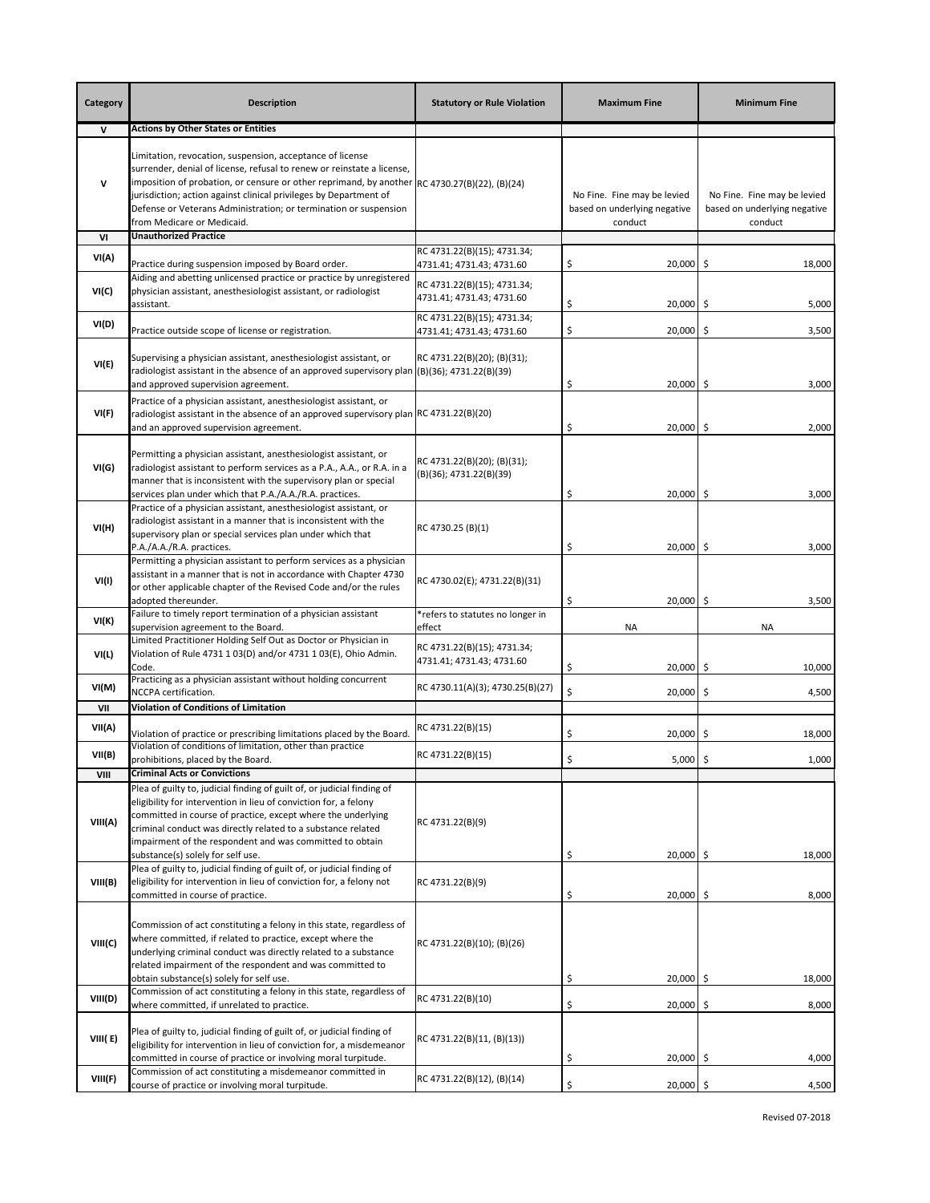| Category     | <b>Description</b>                                                                                                                                                                                                                                                                                                                                                                                                  | <b>Statutory or Rule Violation</b>                       | <b>Maximum Fine</b>                                                    | <b>Minimum Fine</b>                                                    |
|--------------|---------------------------------------------------------------------------------------------------------------------------------------------------------------------------------------------------------------------------------------------------------------------------------------------------------------------------------------------------------------------------------------------------------------------|----------------------------------------------------------|------------------------------------------------------------------------|------------------------------------------------------------------------|
| $\mathsf{v}$ | <b>Actions by Other States or Entities</b>                                                                                                                                                                                                                                                                                                                                                                          |                                                          |                                                                        |                                                                        |
| v            | Limitation, revocation, suspension, acceptance of license<br>surrender, denial of license, refusal to renew or reinstate a license,<br>imposition of probation, or censure or other reprimand, by another $\left $ RC 4730.27(B)(22), (B)(24)<br>urisdiction; action against clinical privileges by Department of<br>Defense or Veterans Administration; or termination or suspension<br>from Medicare or Medicaid. |                                                          | No Fine. Fine may be levied<br>based on underlying negative<br>conduct | No Fine. Fine may be levied<br>based on underlying negative<br>conduct |
| VI           | <b>Unauthorized Practice</b>                                                                                                                                                                                                                                                                                                                                                                                        |                                                          |                                                                        |                                                                        |
| VI(A)        |                                                                                                                                                                                                                                                                                                                                                                                                                     | RC 4731.22(B)(15); 4731.34;                              |                                                                        |                                                                        |
|              | Practice during suspension imposed by Board order.<br>Aiding and abetting unlicensed practice or practice by unregistered                                                                                                                                                                                                                                                                                           | 4731.41; 4731.43; 4731.60                                | \$<br>20,000                                                           | -\$<br>18,000                                                          |
| VI(C)        | physician assistant, anesthesiologist assistant, or radiologist<br>assistant.                                                                                                                                                                                                                                                                                                                                       | RC 4731.22(B)(15); 4731.34;<br>4731.41; 4731.43; 4731.60 | \$<br>20,000                                                           | \$<br>5,000                                                            |
| VI(D)        | Practice outside scope of license or registration.                                                                                                                                                                                                                                                                                                                                                                  | RC 4731.22(B)(15); 4731.34;<br>4731.41; 4731.43; 4731.60 | \$<br>20,000                                                           | \$<br>3,500                                                            |
| VI(E)        | Supervising a physician assistant, anesthesiologist assistant, or<br>radiologist assistant in the absence of an approved supervisory plan (B)(36); 4731.22(B)(39)<br>and approved supervision agreement.                                                                                                                                                                                                            | RC 4731.22(B)(20); (B)(31);                              | \$<br>20,000 \$                                                        | 3,000                                                                  |
| VI(F)        | Practice of a physician assistant, anesthesiologist assistant, or<br>radiologist assistant in the absence of an approved supervisory plan RC 4731.22(B)(20)<br>and an approved supervision agreement.                                                                                                                                                                                                               |                                                          | \$<br>20,000                                                           | -\$<br>2,000                                                           |
| VI(G)        | Permitting a physician assistant, anesthesiologist assistant, or<br>radiologist assistant to perform services as a P.A., A.A., or R.A. in a<br>manner that is inconsistent with the supervisory plan or special<br>services plan under which that P.A./A.A./R.A. practices.                                                                                                                                         | RC 4731.22(B)(20); (B)(31);<br>(B)(36); 4731.22(B)(39)   | \$<br>20,000 \$                                                        | 3,000                                                                  |
| VI(H)        | Practice of a physician assistant, anesthesiologist assistant, or<br>radiologist assistant in a manner that is inconsistent with the<br>supervisory plan or special services plan under which that<br>P.A./A.A./R.A. practices.                                                                                                                                                                                     | RC 4730.25 (B)(1)                                        | \$<br>20,000 \$                                                        | 3,000                                                                  |
| VI(I)        | Permitting a physician assistant to perform services as a physician<br>assistant in a manner that is not in accordance with Chapter 4730<br>or other applicable chapter of the Revised Code and/or the rules<br>adopted thereunder.                                                                                                                                                                                 | RC 4730.02(E); 4731.22(B)(31)                            | 20,000 \$<br>\$                                                        | 3,500                                                                  |
| VI(K)        | Failure to timely report termination of a physician assistant<br>supervision agreement to the Board.                                                                                                                                                                                                                                                                                                                | *refers to statutes no longer in<br>effect               | <b>NA</b>                                                              | NA                                                                     |
| VI(L)        | Limited Practitioner Holding Self Out as Doctor or Physician in<br>Violation of Rule 4731 1 03(D) and/or 4731 1 03(E), Ohio Admin.<br>Code.                                                                                                                                                                                                                                                                         | RC 4731.22(B)(15); 4731.34;<br>4731.41; 4731.43; 4731.60 | \$<br>20,000                                                           | \$<br>10,000                                                           |
| VI(M)        | Practicing as a physician assistant without holding concurrent<br>NCCPA certification.                                                                                                                                                                                                                                                                                                                              | RC 4730.11(A)(3); 4730.25(B)(27)                         | \$<br>20,000                                                           | -\$<br>4,500                                                           |
| VII          | <b>Violation of Conditions of Limitation</b>                                                                                                                                                                                                                                                                                                                                                                        |                                                          |                                                                        |                                                                        |
| VII(A)       | Violation of practice or prescribing limitations placed by the Board.<br>Violation of conditions of limitation, other than practice                                                                                                                                                                                                                                                                                 | RC 4731.22(B)(15)                                        | \$<br>20,000                                                           | -\$<br>18,000                                                          |
| VII(B)       | prohibitions, placed by the Board.                                                                                                                                                                                                                                                                                                                                                                                  | RC 4731.22(B)(15)                                        | Ś<br>5,000                                                             | \$<br>1,000                                                            |
| VIII         | <b>Criminal Acts or Convictions</b>                                                                                                                                                                                                                                                                                                                                                                                 |                                                          |                                                                        |                                                                        |
| VIII(A)      | Plea of guilty to, judicial finding of guilt of, or judicial finding of<br>eligibility for intervention in lieu of conviction for, a felony<br>committed in course of practice, except where the underlying<br>criminal conduct was directly related to a substance related<br>impairment of the respondent and was committed to obtain                                                                             | RC 4731.22(B)(9)                                         |                                                                        |                                                                        |
| VIII(B)      | substance(s) solely for self use.<br>Plea of guilty to, judicial finding of guilt of, or judicial finding of<br>eligibility for intervention in lieu of conviction for, a felony not<br>committed in course of practice.                                                                                                                                                                                            | RC 4731.22(B)(9)                                         | \$<br>$20,000$ \$<br>\$<br>20,000                                      | 18,000<br>-\$<br>8,000                                                 |
| VIII(C)      | Commission of act constituting a felony in this state, regardless of<br>where committed, if related to practice, except where the<br>underlying criminal conduct was directly related to a substance<br>related impairment of the respondent and was committed to<br>obtain substance(s) solely for self use.                                                                                                       | RC 4731.22(B)(10); (B)(26)                               | \$<br>$20,000$ \$                                                      | 18,000                                                                 |
| VIII(D)      | Commission of act constituting a felony in this state, regardless of                                                                                                                                                                                                                                                                                                                                                | RC 4731.22(B)(10)                                        |                                                                        |                                                                        |
| VIII(E)      | where committed, if unrelated to practice.<br>Plea of guilty to, judicial finding of guilt of, or judicial finding of<br>eligibility for intervention in lieu of conviction for, a misdemeanor<br>committed in course of practice or involving moral turpitude.                                                                                                                                                     | RC 4731.22(B)(11, (B)(13))                               | \$<br>20,000<br>\$<br>20,000                                           | \$<br>8,000<br>-\$<br>4,000                                            |
|              | Commission of act constituting a misdemeanor committed in                                                                                                                                                                                                                                                                                                                                                           |                                                          |                                                                        |                                                                        |
| VIII(F)      | course of practice or involving moral turpitude.                                                                                                                                                                                                                                                                                                                                                                    | RC 4731.22(B)(12), (B)(14)                               | \$<br>20,000 \$                                                        | 4,500                                                                  |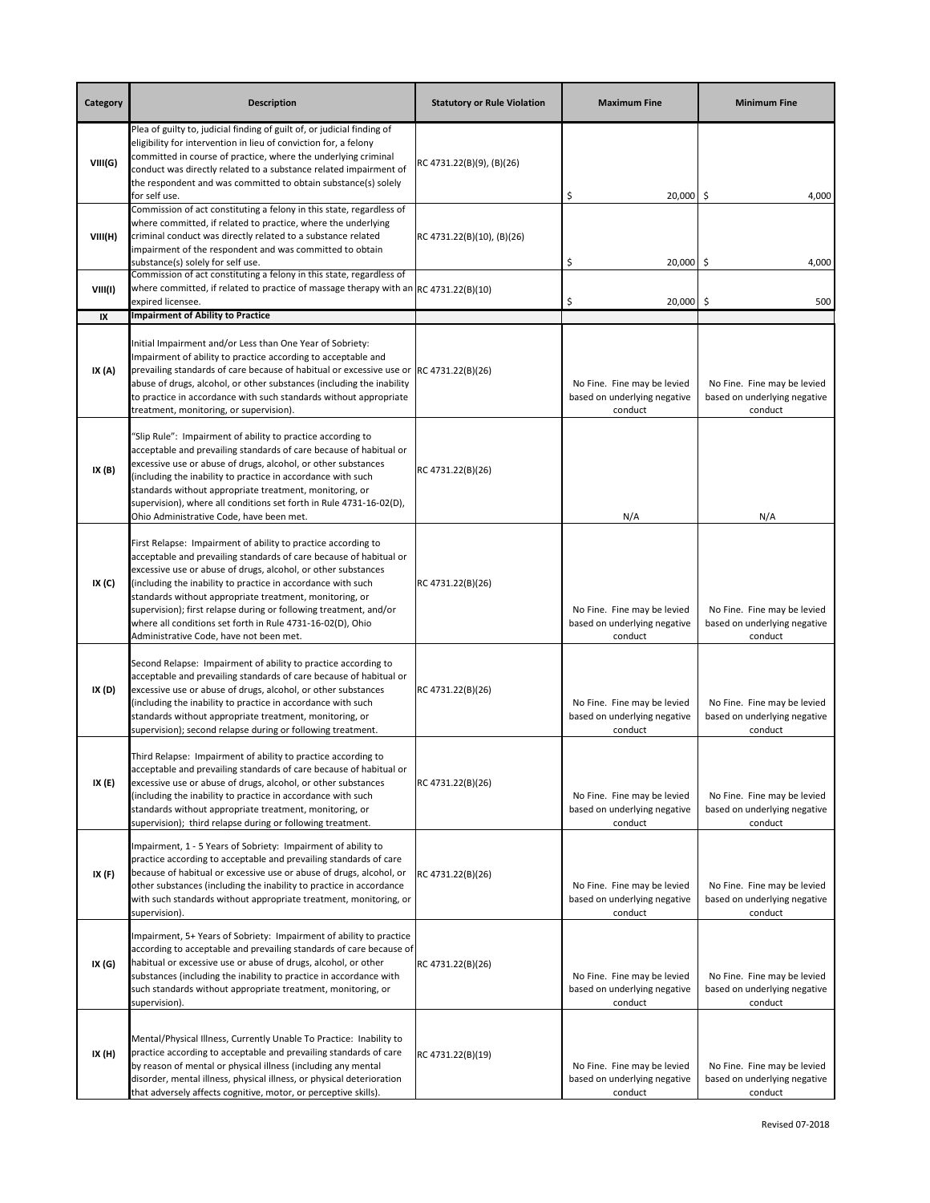| Category | <b>Description</b>                                                                                                                                                                                                                                                                                                                                                                                                                                                                                            | <b>Statutory or Rule Violation</b> | <b>Maximum Fine</b>                                                    | <b>Minimum Fine</b>                                                    |
|----------|---------------------------------------------------------------------------------------------------------------------------------------------------------------------------------------------------------------------------------------------------------------------------------------------------------------------------------------------------------------------------------------------------------------------------------------------------------------------------------------------------------------|------------------------------------|------------------------------------------------------------------------|------------------------------------------------------------------------|
| VIII(G)  | Plea of guilty to, judicial finding of guilt of, or judicial finding of<br>eligibility for intervention in lieu of conviction for, a felony<br>committed in course of practice, where the underlying criminal<br>conduct was directly related to a substance related impairment of<br>the respondent and was committed to obtain substance(s) solely<br>for self use.                                                                                                                                         | RC 4731.22(B)(9), (B)(26)          | \$<br>20,000 \$                                                        | 4,000                                                                  |
| VIII(H)  | Commission of act constituting a felony in this state, regardless of<br>where committed, if related to practice, where the underlying<br>criminal conduct was directly related to a substance related<br>impairment of the respondent and was committed to obtain<br>substance(s) solely for self use.                                                                                                                                                                                                        | RC 4731.22(B)(10), (B)(26)         | \$<br>20,000 \$                                                        | 4,000                                                                  |
| VIII(I)  | Commission of act constituting a felony in this state, regardless of<br>where committed, if related to practice of massage therapy with an RC 4731.22(B)(10)<br>expired licensee.                                                                                                                                                                                                                                                                                                                             |                                    | \$<br>20,000 \$                                                        | 500                                                                    |
| IX       | <b>Impairment of Ability to Practice</b>                                                                                                                                                                                                                                                                                                                                                                                                                                                                      |                                    |                                                                        |                                                                        |
| IX(A)    | Initial Impairment and/or Less than One Year of Sobriety:<br>Impairment of ability to practice according to acceptable and<br>prevailing standards of care because of habitual or excessive use or RC 4731.22(B)(26)<br>abuse of drugs, alcohol, or other substances (including the inability<br>to practice in accordance with such standards without appropriate<br>treatment, monitoring, or supervision).                                                                                                 |                                    | No Fine. Fine may be levied<br>based on underlying negative<br>conduct | No Fine. Fine may be levied<br>based on underlying negative<br>conduct |
| IX(B)    | "Slip Rule": Impairment of ability to practice according to<br>acceptable and prevailing standards of care because of habitual or<br>excessive use or abuse of drugs, alcohol, or other substances<br>(including the inability to practice in accordance with such<br>standards without appropriate treatment, monitoring, or<br>supervision), where all conditions set forth in Rule 4731-16-02(D),<br>Ohio Administrative Code, have been met.                                                              | RC 4731.22(B)(26)                  | N/A                                                                    | N/A                                                                    |
| IX (C)   | First Relapse: Impairment of ability to practice according to<br>acceptable and prevailing standards of care because of habitual or<br>excessive use or abuse of drugs, alcohol, or other substances<br>(including the inability to practice in accordance with such<br>standards without appropriate treatment, monitoring, or<br>supervision); first relapse during or following treatment, and/or<br>where all conditions set forth in Rule 4731-16-02(D), Ohio<br>Administrative Code, have not been met. | RC 4731.22(B)(26)                  | No Fine. Fine may be levied<br>based on underlying negative<br>conduct | No Fine. Fine may be levied<br>based on underlying negative<br>conduct |
| IX (D)   | Second Relapse: Impairment of ability to practice according to<br>acceptable and prevailing standards of care because of habitual or<br>excessive use or abuse of drugs, alcohol, or other substances<br>(including the inability to practice in accordance with such<br>standards without appropriate treatment, monitoring, or<br>supervision); second relapse during or following treatment.                                                                                                               | RC 4731.22(B)(26)                  | No Fine. Fine may be levied<br>based on underlying negative<br>conduct | No Fine. Fine may be levied<br>based on underlying negative<br>conduct |
| IX (E)   | Third Relapse: Impairment of ability to practice according to<br>acceptable and prevailing standards of care because of habitual or<br>excessive use or abuse of drugs, alcohol, or other substances<br>(including the inability to practice in accordance with such<br>standards without appropriate treatment, monitoring, or<br>supervision); third relapse during or following treatment.                                                                                                                 | RC 4731.22(B)(26)                  | No Fine. Fine may be levied<br>based on underlying negative<br>conduct | No Fine. Fine may be levied<br>based on underlying negative<br>conduct |
| IX (F)   | Impairment, 1 - 5 Years of Sobriety: Impairment of ability to<br>practice according to acceptable and prevailing standards of care<br>because of habitual or excessive use or abuse of drugs, alcohol, or<br>other substances (including the inability to practice in accordance<br>with such standards without appropriate treatment, monitoring, or<br>supervision).                                                                                                                                        | RC 4731.22(B)(26)                  | No Fine. Fine may be levied<br>based on underlying negative<br>conduct | No Fine. Fine may be levied<br>based on underlying negative<br>conduct |
| IX (G)   | Impairment, 5+ Years of Sobriety: Impairment of ability to practice<br>according to acceptable and prevailing standards of care because of<br>habitual or excessive use or abuse of drugs, alcohol, or other<br>substances (including the inability to practice in accordance with<br>such standards without appropriate treatment, monitoring, or<br>supervision).                                                                                                                                           | RC 4731.22(B)(26)                  | No Fine. Fine may be levied<br>based on underlying negative<br>conduct | No Fine. Fine may be levied<br>based on underlying negative<br>conduct |
| IX (H)   | Mental/Physical Illness, Currently Unable To Practice: Inability to<br>practice according to acceptable and prevailing standards of care<br>by reason of mental or physical illness (including any mental<br>disorder, mental illness, physical illness, or physical deterioration<br>that adversely affects cognitive, motor, or perceptive skills).                                                                                                                                                         | RC 4731.22(B)(19)                  | No Fine. Fine may be levied<br>based on underlying negative<br>conduct | No Fine. Fine may be levied<br>based on underlying negative<br>conduct |